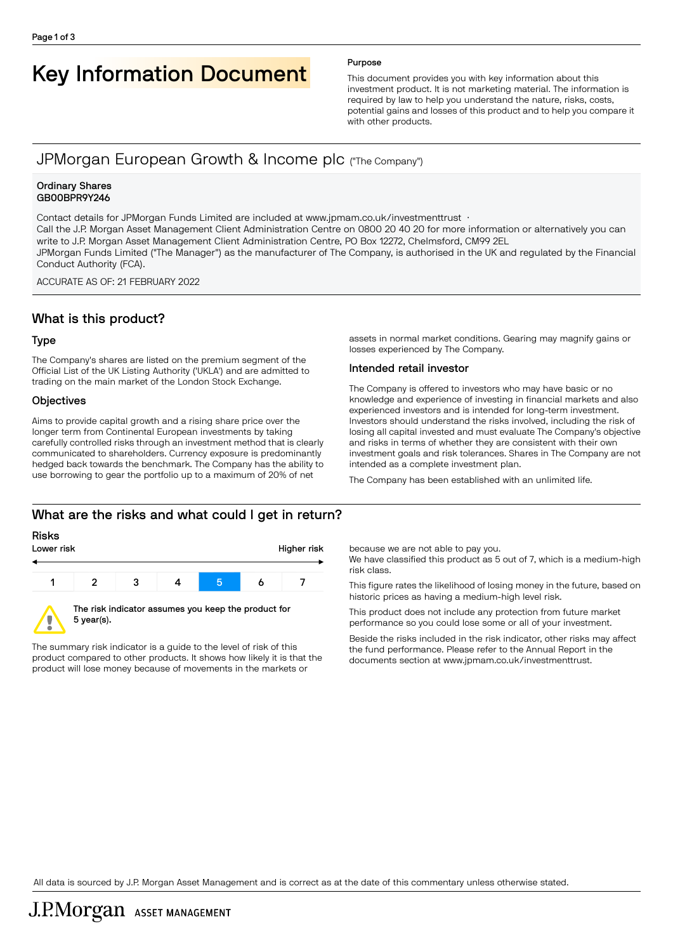# Key Information Document Purpose

This document provides you with key information about this investment product. It is not marketing material. The information is required by law to help you understand the nature, risks, costs, potential gains and losses of this product and to help you compare it with other products.

# JPMorgan European Growth & Income plc ("The Company")

#### Ordinary Shares GB00BPR9Y246

Contact details for JPMorgan Funds Limited are included at www.jpmam.co.uk/investmenttrust · Call the J.P. Morgan Asset Management Client Administration Centre on 0800 20 40 20 for more information or alternatively you can write to J.P. Morgan Asset Management Client Administration Centre, PO Box 12272, Chelmsford, CM99 2EL JPMorgan Funds Limited ("The Manager") as the manufacturer of The Company, is authorised in the UK and regulated by the Financial Conduct Authority (FCA).

ACCURATE AS OF: 21 FEBRUARY 2022

# What is this product?

#### Type

The Company's shares are listed on the premium segment of the Official List of the UK Listing Authority ('UKLA') and are admitted to trading on the main market of the London Stock Exchange.

#### **Objectives**

Aims to provide capital growth and a rising share price over the longer term from Continental European investments by taking carefully controlled risks through an investment method that is clearly communicated to shareholders. Currency exposure is predominantly hedged back towards the benchmark. The Company has the ability to use borrowing to gear the portfolio up to a maximum of 20% of net

assets in normal market conditions. Gearing may magnify gains or losses experienced by The Company.

#### Intended retail investor

The Company is offered to investors who may have basic or no knowledge and experience of investing in financial markets and also experienced investors and is intended for long-term investment. Investors should understand the risks involved, including the risk of losing all capital invested and must evaluate The Company's objective and risks in terms of whether they are consistent with their own investment goals and risk tolerances. Shares in The Company are not intended as a complete investment plan.

The Company has been established with an unlimited life.

# What are the risks and what could I get in return?

#### Risks



The summary risk indicator is a guide to the level of risk of this product compared to other products. It shows how likely it is that the product will lose money because of movements in the markets or

because we are not able to pay you.

We have classified this product as 5 out of 7, which is a medium-high risk class.

This figure rates the likelihood of losing money in the future, based on historic prices as having a medium-high level risk.

This product does not include any protection from future market performance so you could lose some or all of your investment.

Beside the risks included in the risk indicator, other risks may affect the fund performance. Please refer to the Annual Report in the documents section at [www.jpmam.co.uk/investmenttrust.](www.jpmam.co.uk/investmenttrust)

All data is sourced by J.P. Morgan Asset Management and is correct as at the date of this commentary unless otherwise stated.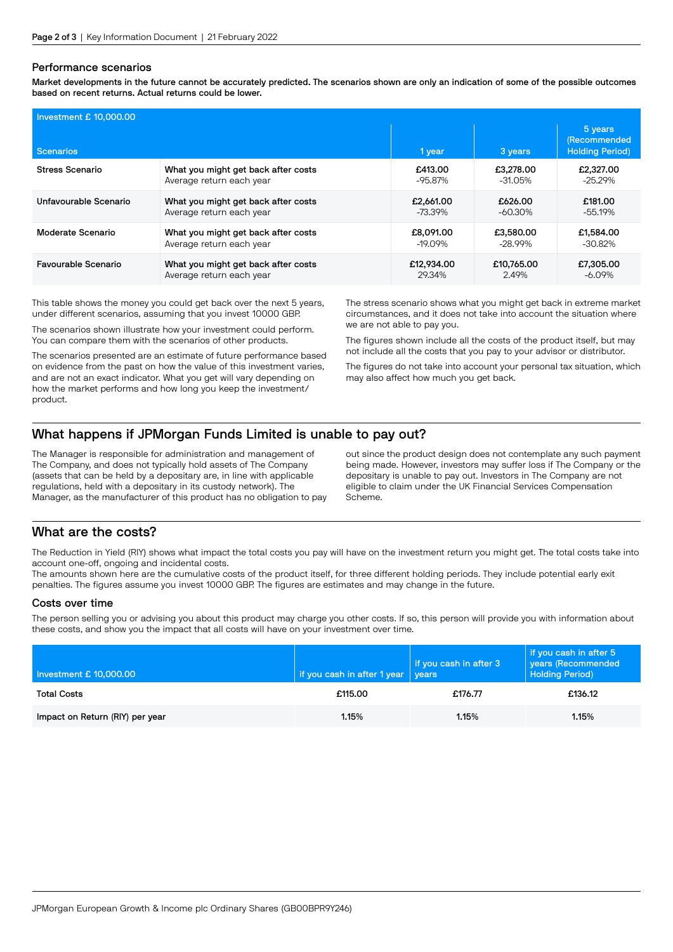#### Performance scenarios

Market developments in the future cannot be accurately predicted. The scenarios shown are only an indication of some of the possible outcomes based on recent returns. Actual returns could be lower.

| Investment £ 10,000.00     |                                     |            |            |                                                          |  |  |
|----------------------------|-------------------------------------|------------|------------|----------------------------------------------------------|--|--|
| <b>Scenarios</b>           |                                     | 1 year     | 3 years    | 5 years<br><b>(Recommended</b><br><b>Holding Period)</b> |  |  |
| Stress Scenario            | What you might get back after costs | £413.00    | £3,278,00  | £2,327.00                                                |  |  |
|                            | Average return each year            | $-95.87\%$ | $-31.05%$  | $-25.29%$                                                |  |  |
| Unfavourable Scenario      | What you might get back after costs | £2,661,00  | £626.00    | £181.00                                                  |  |  |
|                            | Average return each year            | -73.39%    | -60.30%    | $-55.19%$                                                |  |  |
| Moderate Scenario          | What you might get back after costs | £8,091,00  | £3,580,00  | £1.584.00                                                |  |  |
|                            | Average return each year            | $-19.09\%$ | -28.99%    | $-30.82\%$                                               |  |  |
| <b>Favourable Scenario</b> | What you might get back after costs | £12,934,00 | £10,765,00 | £7,305.00                                                |  |  |
|                            | Average return each year            | 29.34%     | 2.49%      | $-6.09\%$                                                |  |  |

This table shows the money you could get back over the next 5 years, under different scenarios, assuming that you invest 10000 GBP.

The scenarios shown illustrate how your investment could perform. You can compare them with the scenarios of other products.

The scenarios presented are an estimate of future performance based on evidence from the past on how the value of this investment varies, and are not an exact indicator. What you get will vary depending on how the market performs and how long you keep the investment/ product.

The stress scenario shows what you might get back in extreme market circumstances, and it does not take into account the situation where we are not able to pay you.

The figures shown include all the costs of the product itself, but may not include all the costs that you pay to your advisor or distributor.

The figures do not take into account your personal tax situation, which may also affect how much you get back.

# What happens if JPMorgan Funds Limited is unable to pay out?

The Manager is responsible for administration and management of The Company, and does not typically hold assets of The Company (assets that can be held by a depositary are, in line with applicable regulations, held with a depositary in its custody network). The Manager, as the manufacturer of this product has no obligation to pay out since the product design does not contemplate any such payment being made. However, investors may suffer loss if The Company or the depositary is unable to pay out. Investors in The Company are not eligible to claim under the UK Financial Services Compensation Scheme.

### What are the costs?

The Reduction in Yield (RIY) shows what impact the total costs you pay will have on the investment return you might get. The total costs take into account one-off, ongoing and incidental costs.

The amounts shown here are the cumulative costs of the product itself, for three different holding periods. They include potential early exit penalties. The figures assume you invest 10000 GBP. The figures are estimates and may change in the future.

#### Costs over time

The person selling you or advising you about this product may charge you other costs. If so, this person will provide you with information about these costs, and show you the impact that all costs will have on your investment over time.

| Investment £ 10,000.00          | if you cash in after 1 year | if you cash in after 3<br>vears | if you cash in after 5<br>years (Recommended<br><b>Holding Period)</b> |
|---------------------------------|-----------------------------|---------------------------------|------------------------------------------------------------------------|
| <b>Total Costs</b>              | £115.00                     | £176.77                         | £136.12                                                                |
| Impact on Return (RIY) per year | 1.15%                       | 1.15%                           | 1.15%                                                                  |